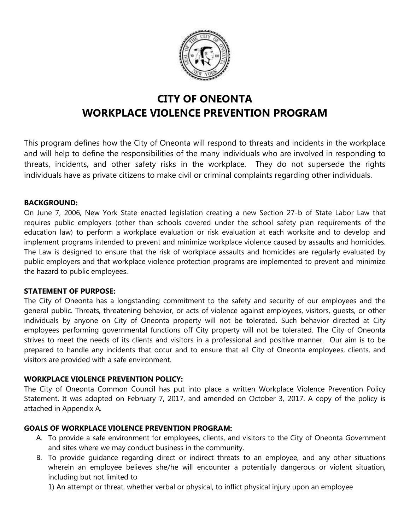

# **CITY OF ONEONTA WORKPLACE VIOLENCE PREVENTION PROGRAM**

This program defines how the City of Oneonta will respond to threats and incidents in the workplace and will help to define the responsibilities of the many individuals who are involved in responding to threats, incidents, and other safety risks in the workplace. They do not supersede the rights individuals have as private citizens to make civil or criminal complaints regarding other individuals.

#### **BACKGROUND:**

On June 7, 2006, New York State enacted legislation creating a new Section 27-b of State Labor Law that requires public employers (other than schools covered under the school safety plan requirements of the education law) to perform a workplace evaluation or risk evaluation at each worksite and to develop and implement programs intended to prevent and minimize workplace violence caused by assaults and homicides. The Law is designed to ensure that the risk of workplace assaults and homicides are regularly evaluated by public employers and that workplace violence protection programs are implemented to prevent and minimize the hazard to public employees.

#### **STATEMENT OF PURPOSE:**

The City of Oneonta has a longstanding commitment to the safety and security of our employees and the general public. Threats, threatening behavior, or acts of violence against employees, visitors, guests, or other individuals by anyone on City of Oneonta property will not be tolerated. Such behavior directed at City employees performing governmental functions off City property will not be tolerated. The City of Oneonta strives to meet the needs of its clients and visitors in a professional and positive manner. Our aim is to be prepared to handle any incidents that occur and to ensure that all City of Oneonta employees, clients, and visitors are provided with a safe environment.

## **WORKPLACE VIOLENCE PREVENTION POLICY:**

The City of Oneonta Common Council has put into place a written Workplace Violence Prevention Policy Statement. It was adopted on February 7, 2017, and amended on October 3, 2017. A copy of the policy is attached in Appendix A.

## **GOALS OF WORKPLACE VIOLENCE PREVENTION PROGRAM:**

- A. To provide a safe environment for employees, clients, and visitors to the City of Oneonta Government and sites where we may conduct business in the community.
- B. To provide guidance regarding direct or indirect threats to an employee, and any other situations wherein an employee believes she/he will encounter a potentially dangerous or violent situation, including but not limited to

1) An attempt or threat, whether verbal or physical, to inflict physical injury upon an employee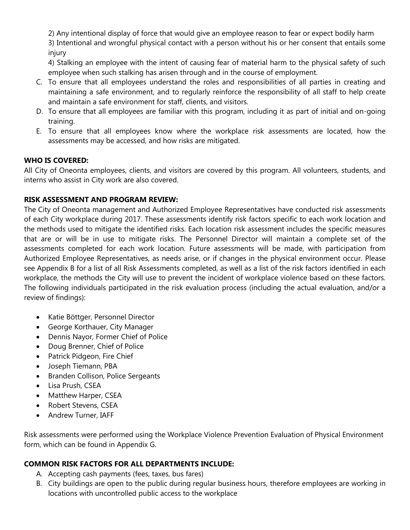2) Any intentional display of force that would give an employee reason to fear or expect bodily harm 3) Intentional and wrongful physical contact with a person without his or her consent that entails some injury

4) Stalking an employee with the intent of causing fear of material harm to the physical safety of such employee when such stalking has arisen through and in the course of employment.

- C. To ensure that all employees understand the roles and responsibilities of all parties in creating and maintaining a safe environment, and to regularly reinforce the responsibility of all staff to help create and maintain a safe environment for staff, clients, and visitors.
- D. To ensure that all employees are familiar with this program, including it as part of initial and on-going training.
- E. To ensure that all employees know where the workplace risk assessments are located, how the assessments may be accessed, and how risks are mitigated.

## **WHO IS COVERED:**

All City of Oneonta employees, clients, and visitors are covered by this program. All volunteers, students, and interns who assist in City work are also covered.

## **RISK ASSESSMENT AND PROGRAM REVIEW:**

The City of Oneonta management and Authorized Employee Representatives have conducted risk assessments of each City workplace during 2017. These assessments identify risk factors specific to each work location and the methods used to mitigate the identified risks. Each location risk assessment includes the specific measures that are or will be in use to mitigate risks. The Personnel Director will maintain a complete set of the assessments completed for each work location. Future assessments will be made, with participation from Authorized Employee Representatives, as needs arise, or if changes in the physical environment occur. Please see Appendix B for a list of all Risk Assessments completed, as well as a list of the risk factors identified in each workplace, the methods the City will use to prevent the incident of workplace violence based on these factors. The following individuals participated in the risk evaluation process (including the actual evaluation, and/or a review of findings):

- Katie Böttger, Personnel Director
- George Korthauer, City Manager
- Dennis Nayor, Former Chief of Police
- Doug Brenner, Chief of Police
- Patrick Pidgeon, Fire Chief
- Joseph Tiemann, PBA
- Branden Collison, Police Sergeants
- Lisa Prush, CSEA
- Matthew Harper, CSEA
- Robert Stevens, CSEA
- Andrew Turner, IAFF

Risk assessments were performed using the Workplace Violence Prevention Evaluation of Physical Environment form, which can be found in Appendix G.

# **COMMON RISK FACTORS FOR ALL DEPARTMENTS INCLUDE:**

- A. Accepting cash payments (fees, taxes, bus fares)
- B. City buildings are open to the public during regular business hours, therefore employees are working in locations with uncontrolled public access to the workplace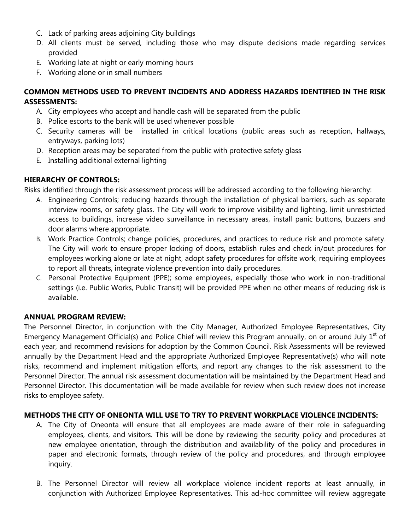- C. Lack of parking areas adjoining City buildings
- D. All clients must be served, including those who may dispute decisions made regarding services provided
- E. Working late at night or early morning hours
- F. Working alone or in small numbers

## **COMMON METHODS USED TO PREVENT INCIDENTS AND ADDRESS HAZARDS IDENTIFIED IN THE RISK ASSESSMENTS:**

- A. City employees who accept and handle cash will be separated from the public
- B. Police escorts to the bank will be used whenever possible
- C. Security cameras will be installed in critical locations (public areas such as reception, hallways, entryways, parking lots)
- D. Reception areas may be separated from the public with protective safety glass
- E. Installing additional external lighting

# **HIERARCHY OF CONTROLS:**

Risks identified through the risk assessment process will be addressed according to the following hierarchy:

- A. Engineering Controls; reducing hazards through the installation of physical barriers, such as separate interview rooms, or safety glass. The City will work to improve visibility and lighting, limit unrestricted access to buildings, increase video surveillance in necessary areas, install panic buttons, buzzers and door alarms where appropriate.
- B. Work Practice Controls; change policies, procedures, and practices to reduce risk and promote safety. The City will work to ensure proper locking of doors, establish rules and check in/out procedures for employees working alone or late at night, adopt safety procedures for offsite work, requiring employees to report all threats, integrate violence prevention into daily procedures.
- C. Personal Protective Equipment (PPE); some employees, especially those who work in non-traditional settings (i.e. Public Works, Public Transit) will be provided PPE when no other means of reducing risk is available.

## **ANNUAL PROGRAM REVIEW:**

The Personnel Director, in conjunction with the City Manager, Authorized Employee Representatives, City Emergency Management Official(s) and Police Chief will review this Program annually, on or around July  $1<sup>st</sup>$  of each year, and recommend revisions for adoption by the Common Council. Risk Assessments will be reviewed annually by the Department Head and the appropriate Authorized Employee Representative(s) who will note risks, recommend and implement mitigation efforts, and report any changes to the risk assessment to the Personnel Director. The annual risk assessment documentation will be maintained by the Department Head and Personnel Director. This documentation will be made available for review when such review does not increase risks to employee safety.

## **METHODS THE CITY OF ONEONTA WILL USE TO TRY TO PREVENT WORKPLACE VIOLENCE INCIDENTS:**

- A. The City of Oneonta will ensure that all employees are made aware of their role in safeguarding employees, clients, and visitors. This will be done by reviewing the security policy and procedures at new employee orientation, through the distribution and availability of the policy and procedures in paper and electronic formats, through review of the policy and procedures, and through employee inquiry.
- B. The Personnel Director will review all workplace violence incident reports at least annually, in conjunction with Authorized Employee Representatives. This ad-hoc committee will review aggregate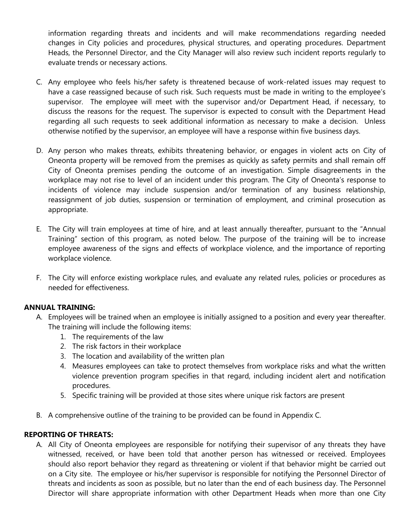information regarding threats and incidents and will make recommendations regarding needed changes in City policies and procedures, physical structures, and operating procedures. Department Heads, the Personnel Director, and the City Manager will also review such incident reports regularly to evaluate trends or necessary actions.

- C. Any employee who feels his/her safety is threatened because of work-related issues may request to have a case reassigned because of such risk. Such requests must be made in writing to the employee's supervisor. The employee will meet with the supervisor and/or Department Head, if necessary, to discuss the reasons for the request. The supervisor is expected to consult with the Department Head regarding all such requests to seek additional information as necessary to make a decision. Unless otherwise notified by the supervisor, an employee will have a response within five business days.
- D. Any person who makes threats, exhibits threatening behavior, or engages in violent acts on City of Oneonta property will be removed from the premises as quickly as safety permits and shall remain off City of Oneonta premises pending the outcome of an investigation. Simple disagreements in the workplace may not rise to level of an incident under this program. The City of Oneonta's response to incidents of violence may include suspension and/or termination of any business relationship, reassignment of job duties, suspension or termination of employment, and criminal prosecution as appropriate.
- E. The City will train employees at time of hire, and at least annually thereafter, pursuant to the "Annual Training" section of this program, as noted below. The purpose of the training will be to increase employee awareness of the signs and effects of workplace violence, and the importance of reporting workplace violence.
- F. The City will enforce existing workplace rules, and evaluate any related rules, policies or procedures as needed for effectiveness.

## **ANNUAL TRAINING:**

- A. Employees will be trained when an employee is initially assigned to a position and every year thereafter. The training will include the following items:
	- 1. The requirements of the law
	- 2. The risk factors in their workplace
	- 3. The location and availability of the written plan
	- 4. Measures employees can take to protect themselves from workplace risks and what the written violence prevention program specifies in that regard, including incident alert and notification procedures.
	- 5. Specific training will be provided at those sites where unique risk factors are present
- B. A comprehensive outline of the training to be provided can be found in Appendix C.

#### **REPORTING OF THREATS:**

A. All City of Oneonta employees are responsible for notifying their supervisor of any threats they have witnessed, received, or have been told that another person has witnessed or received. Employees should also report behavior they regard as threatening or violent if that behavior might be carried out on a City site. The employee or his/her supervisor is responsible for notifying the Personnel Director of threats and incidents as soon as possible, but no later than the end of each business day. The Personnel Director will share appropriate information with other Department Heads when more than one City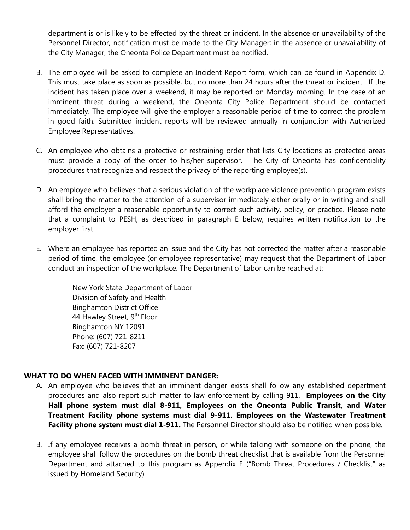department is or is likely to be effected by the threat or incident. In the absence or unavailability of the Personnel Director, notification must be made to the City Manager; in the absence or unavailability of the City Manager, the Oneonta Police Department must be notified.

- B. The employee will be asked to complete an Incident Report form, which can be found in Appendix D. This must take place as soon as possible, but no more than 24 hours after the threat or incident. If the incident has taken place over a weekend, it may be reported on Monday morning. In the case of an imminent threat during a weekend, the Oneonta City Police Department should be contacted immediately. The employee will give the employer a reasonable period of time to correct the problem in good faith. Submitted incident reports will be reviewed annually in conjunction with Authorized Employee Representatives.
- C. An employee who obtains a protective or restraining order that lists City locations as protected areas must provide a copy of the order to his/her supervisor. The City of Oneonta has confidentiality procedures that recognize and respect the privacy of the reporting employee(s).
- D. An employee who believes that a serious violation of the workplace violence prevention program exists shall bring the matter to the attention of a supervisor immediately either orally or in writing and shall afford the employer a reasonable opportunity to correct such activity, policy, or practice. Please note that a complaint to PESH, as described in paragraph E below, requires written notification to the employer first.
- E. Where an employee has reported an issue and the City has not corrected the matter after a reasonable period of time, the employee (or employee representative) may request that the Department of Labor conduct an inspection of the workplace. The Department of Labor can be reached at:

New York State Department of Labor Division of Safety and Health Binghamton District Office 44 Hawley Street, 9<sup>th</sup> Floor Binghamton NY 12091 Phone: (607) 721-8211 Fax: (607) 721-8207

## **WHAT TO DO WHEN FACED WITH IMMINENT DANGER:**

- A. An employee who believes that an imminent danger exists shall follow any established department procedures and also report such matter to law enforcement by calling 911. **Employees on the City Hall phone system must dial 8-911, Employees on the Oneonta Public Transit, and Water Treatment Facility phone systems must dial 9-911. Employees on the Wastewater Treatment Facility phone system must dial 1-911.** The Personnel Director should also be notified when possible.
- B. If any employee receives a bomb threat in person, or while talking with someone on the phone, the employee shall follow the procedures on the bomb threat checklist that is available from the Personnel Department and attached to this program as Appendix E ("Bomb Threat Procedures / Checklist" as issued by Homeland Security).